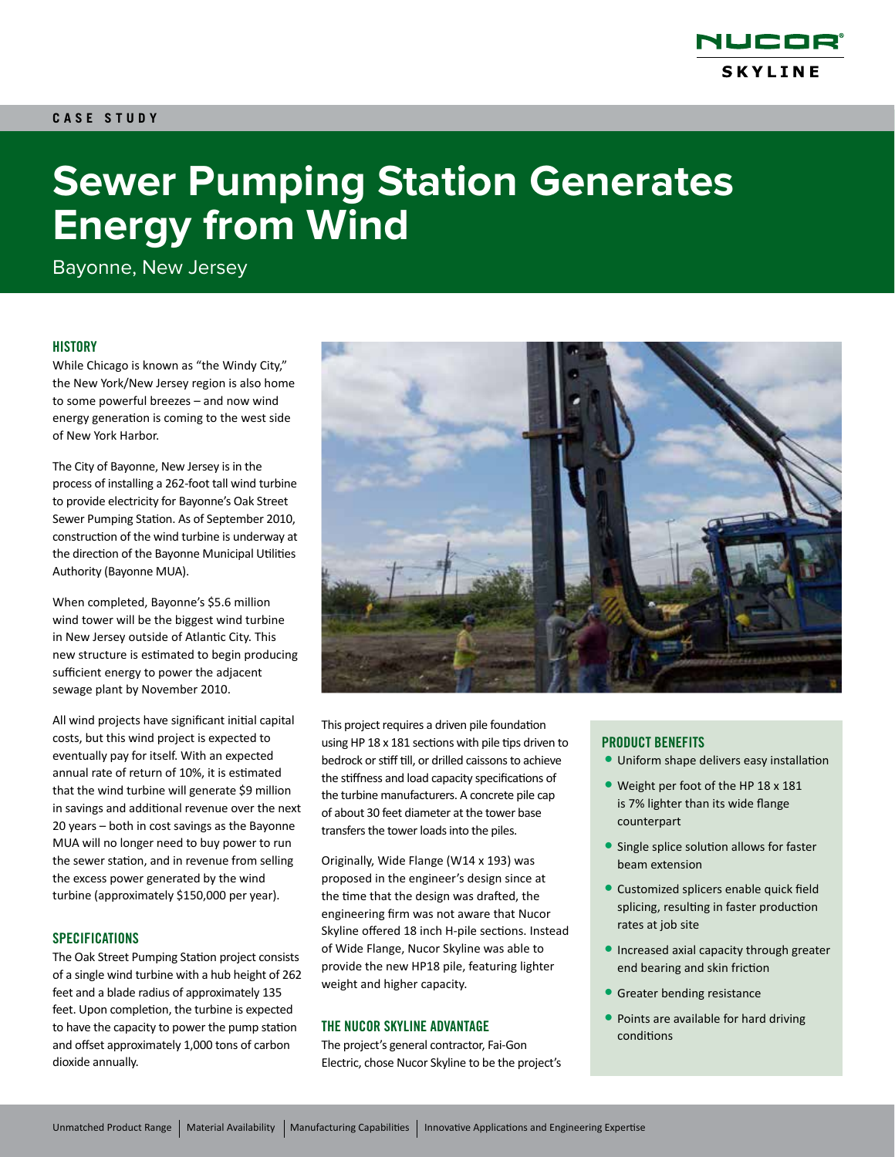

# **Sewer Pumping Station Generates Energy from Wind**

Bayonne, New Jersey

### **HISTORY**

While Chicago is known as "the Windy City," the New York/New Jersey region is also home to some powerful breezes – and now wind energy generation is coming to the west side of New York Harbor.

The City of Bayonne, New Jersey is in the process of installing a 262-foot tall wind turbine to provide electricity for Bayonne's Oak Street Sewer Pumping Station. As of September 2010, construction of the wind turbine is underway at the direction of the Bayonne Municipal Utilities Authority (Bayonne MUA).

When completed, Bayonne's \$5.6 million wind tower will be the biggest wind turbine in New Jersey outside of Atlantic City. This new structure is estimated to begin producing sufficient energy to power the adjacent sewage plant by November 2010.

All wind projects have significant initial capital costs, but this wind project is expected to eventually pay for itself. With an expected annual rate of return of 10%, it is estimated that the wind turbine will generate \$9 million in savings and additional revenue over the next 20 years – both in cost savings as the Bayonne MUA will no longer need to buy power to run the sewer station, and in revenue from selling the excess power generated by the wind turbine (approximately \$150,000 per year).

### **SPECIFICATIONS**

The Oak Street Pumping Station project consists of a single wind turbine with a hub height of 262 feet and a blade radius of approximately 135 feet. Upon completion, the turbine is expected to have the capacity to power the pump station and offset approximately 1,000 tons of carbon dioxide annually.



This project requires a driven pile foundation using HP 18 x 181 sections with pile tips driven to bedrock or stiff till, or drilled caissons to achieve the stiffness and load capacity specifications of the turbine manufacturers. A concrete pile cap of about 30 feet diameter at the tower base transfers the tower loads into the piles.

Originally, Wide Flange (W14 x 193) was proposed in the engineer's design since at the time that the design was drafted, the engineering firm was not aware that Nucor Skyline offered 18 inch H-pile sections. Instead of Wide Flange, Nucor Skyline was able to provide the new HP18 pile, featuring lighter weight and higher capacity.

### THE NUCOR SKYLINE ADVANTAGE

The project's general contractor, Fai-Gon Electric, chose Nucor Skyline to be the project's

### PRODUCT BENEFITS

- **•** Uniform shape delivers easy installation
- **•** Weight per foot of the HP 18 x 181 is 7% lighter than its wide flange counterpart
- **•** Single splice solution allows for faster beam extension
- **•** Customized splicers enable quick field splicing, resulting in faster production rates at job site
- **•** Increased axial capacity through greater end bearing and skin friction
- **•** Greater bending resistance
- **•** Points are available for hard driving conditions